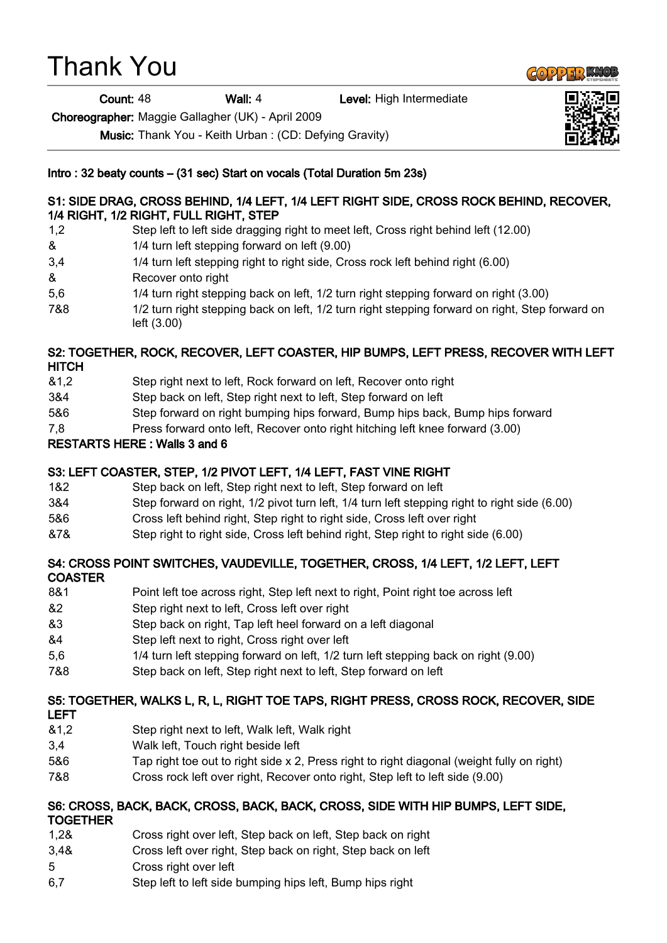# Thank You

Count: 48 Wall: 4 Level: High Intermediate

Choreographer: Maggie Gallagher (UK) - April 2009

Music: Thank You - Keith Urban : (CD: Defying Gravity)

## Intro : 32 beaty counts – (31 sec) Start on vocals (Total Duration 5m 23s)

## S1: SIDE DRAG, CROSS BEHIND, 1/4 LEFT, 1/4 LEFT RIGHT SIDE, CROSS ROCK BEHIND, RECOVER, 1/4 RIGHT, 1/2 RIGHT, FULL RIGHT, STEP

- 1,2 Step left to left side dragging right to meet left, Cross right behind left (12.00)
- & 1/4 turn left stepping forward on left (9.00)
- 3,4 1/4 turn left stepping right to right side, Cross rock left behind right (6.00)
- & Recover onto right
- 5,6 1/4 turn right stepping back on left, 1/2 turn right stepping forward on right (3.00)
- 7&8 1/2 turn right stepping back on left, 1/2 turn right stepping forward on right, Step forward on left (3.00)

## S2: TOGETHER, ROCK, RECOVER, LEFT COASTER, HIP BUMPS, LEFT PRESS, RECOVER WITH LEFT **HITCH**

- &1,2 Step right next to left, Rock forward on left, Recover onto right
- 3&4 Step back on left, Step right next to left, Step forward on left
- 5&6 Step forward on right bumping hips forward, Bump hips back, Bump hips forward
- 7,8 Press forward onto left, Recover onto right hitching left knee forward (3.00)

## RESTARTS HERE : Walls 3 and 6

## S3: LEFT COASTER, STEP, 1/2 PIVOT LEFT, 1/4 LEFT, FAST VINE RIGHT

- 1&2 Step back on left, Step right next to left, Step forward on left
- 3&4 Step forward on right, 1/2 pivot turn left, 1/4 turn left stepping right to right side (6.00)
- 5&6 Cross left behind right, Step right to right side, Cross left over right
- &7& Step right to right side, Cross left behind right, Step right to right side (6.00)

## S4: CROSS POINT SWITCHES, VAUDEVILLE, TOGETHER, CROSS, 1/4 LEFT, 1/2 LEFT, LEFT **COASTER**

- 8&1 Point left toe across right, Step left next to right, Point right toe across left
- &2 Step right next to left, Cross left over right
- &3 Step back on right, Tap left heel forward on a left diagonal
- &4 Step left next to right, Cross right over left
- 5,6 1/4 turn left stepping forward on left, 1/2 turn left stepping back on right (9.00)
- 7&8 Step back on left, Step right next to left, Step forward on left

#### S5: TOGETHER, WALKS L, R, L, RIGHT TOE TAPS, RIGHT PRESS, CROSS ROCK, RECOVER, SIDE LEFT

- &1,2 Step right next to left, Walk left, Walk right
- 3,4 Walk left, Touch right beside left
- 5&6 Tap right toe out to right side x 2, Press right to right diagonal (weight fully on right)
- 7&8 Cross rock left over right, Recover onto right, Step left to left side (9.00)

#### S6: CROSS, BACK, BACK, CROSS, BACK, BACK, CROSS, SIDE WITH HIP BUMPS, LEFT SIDE, **TOGETHER**

- 1,2& Cross right over left, Step back on left, Step back on right
- 3,4& Cross left over right, Step back on right, Step back on left
- 5 Cross right over left
- 6,7 Step left to left side bumping hips left, Bump hips right